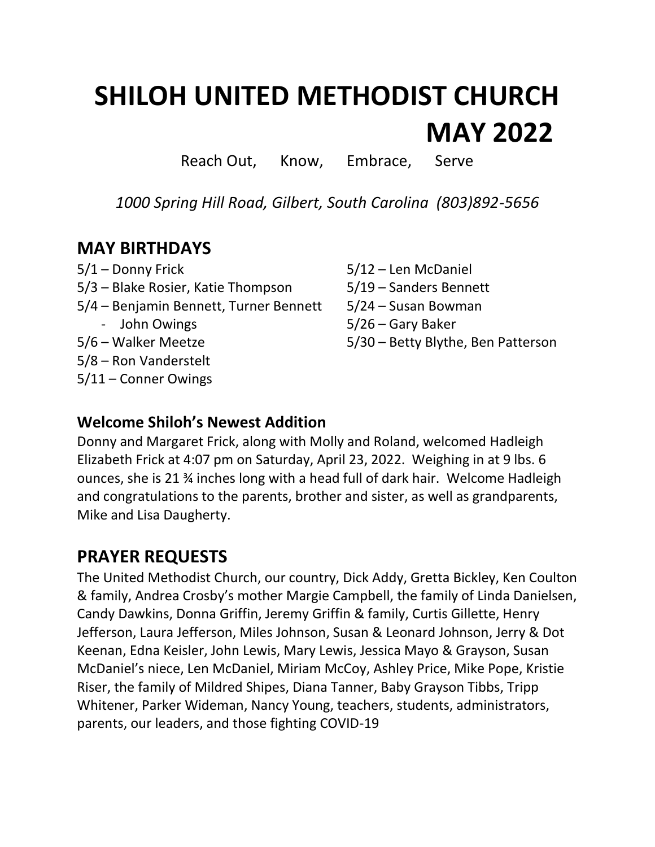# **SHILOH UNITED METHODIST CHURCH MAY 2022**

Reach Out, Know, Embrace, Serve

*1000 Spring Hill Road, Gilbert, South Carolina (803)892-5656*

#### **MAY BIRTHDAYS**

5/1 – Donny Frick 5/12 – Len McDaniel 5/3 – Blake Rosier, Katie Thompson 5/19 – Sanders Bennett 5/4 – Benjamin Bennett, Turner Bennett 5/24 – Susan Bowman - John Owings 5/26 – Gary Baker 5/6 – Walker Meetze 5/30 – Betty Blythe, Ben Patterson 5/8 – Ron Vanderstelt 5/11 – Conner Owings

#### **Welcome Shiloh's Newest Addition**

Donny and Margaret Frick, along with Molly and Roland, welcomed Hadleigh Elizabeth Frick at 4:07 pm on Saturday, April 23, 2022. Weighing in at 9 lbs. 6 ounces, she is 21 ¾ inches long with a head full of dark hair. Welcome Hadleigh and congratulations to the parents, brother and sister, as well as grandparents, Mike and Lisa Daugherty.

#### **PRAYER REQUESTS**

The United Methodist Church, our country, Dick Addy, Gretta Bickley, Ken Coulton & family, Andrea Crosby's mother Margie Campbell, the family of Linda Danielsen, Candy Dawkins, Donna Griffin, Jeremy Griffin & family, Curtis Gillette, Henry Jefferson, Laura Jefferson, Miles Johnson, Susan & Leonard Johnson, Jerry & Dot Keenan, Edna Keisler, John Lewis, Mary Lewis, Jessica Mayo & Grayson, Susan McDaniel's niece, Len McDaniel, Miriam McCoy, Ashley Price, Mike Pope, Kristie Riser, the family of Mildred Shipes, Diana Tanner, Baby Grayson Tibbs, Tripp Whitener, Parker Wideman, Nancy Young, teachers, students, administrators, parents, our leaders, and those fighting COVID-19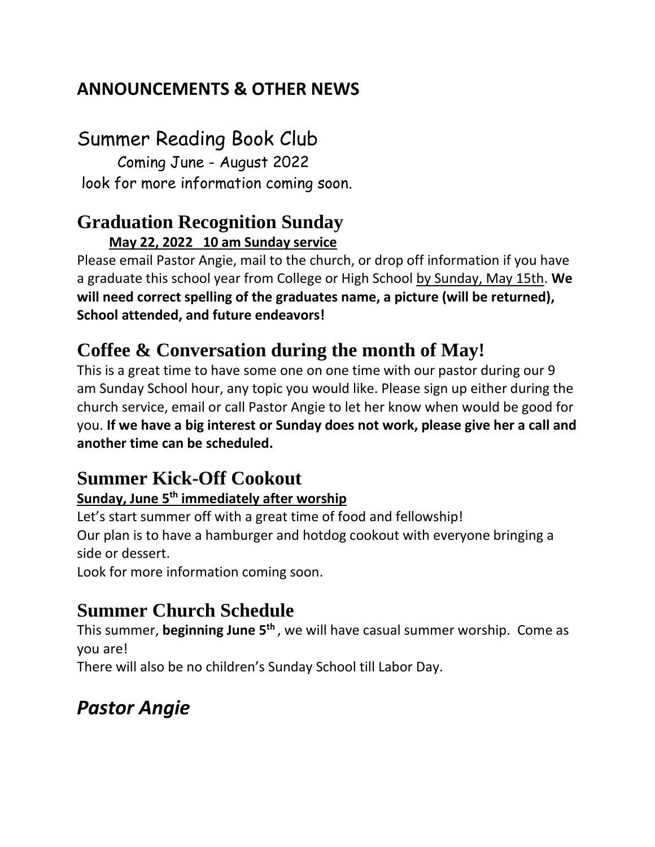### **ANNOUNCEMENTS & OTHER NEWS**

# Summer Reading Book Club

 Coming June - August 2022 look for more information coming soon.

#### **Graduation Recognition Sunday May 22, 2022 10 am Sunday service**

Please email Pastor Angie, mail to the church, or drop off information if you have a graduate this school year from College or High School by Sunday, May 15th. **We will need correct spelling of the graduates name, a picture (will be returned), School attended, and future endeavors!** 

# **Coffee & Conversation during the month of May!**

This is a great time to have some one on one time with our pastor during our 9 am Sunday School hour, any topic you would like. Please sign up either during the church service, email or call Pastor Angie to let her know when would be good for you. **If we have a big interest or Sunday does not work, please give her a call and another time can be scheduled.** 

## **Summer Kick-Off Cookout**

#### **Sunday, June 5th immediately after worship**

Let's start summer off with a great time of food and fellowship! Our plan is to have a hamburger and hotdog cookout with everyone bringing a side or dessert.

Look for more information coming soon.

### **Summer Church Schedule**

This summer, **beginning June 5th** , we will have casual summer worship. Come as you are!

There will also be no children's Sunday School till Labor Day.

# *Pastor Angie*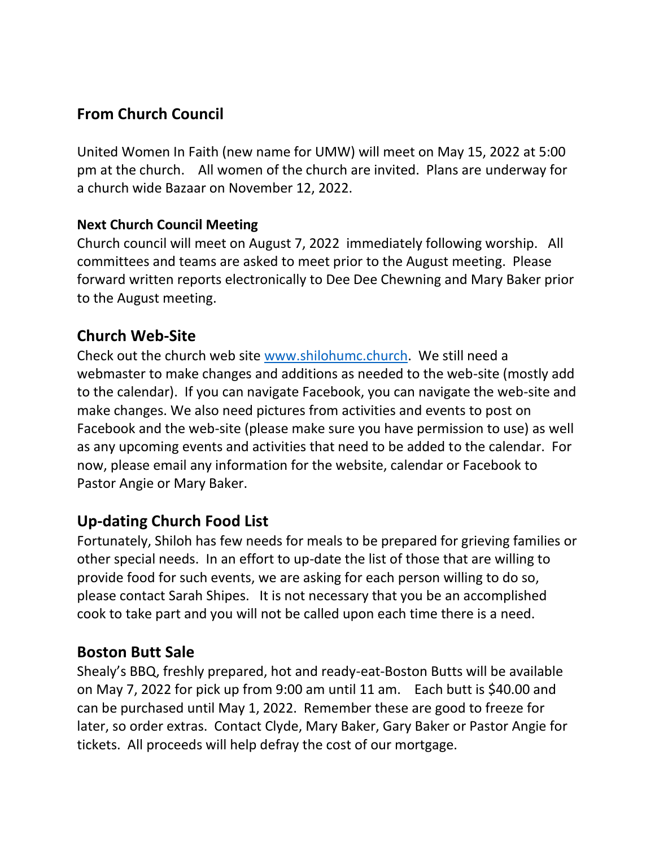#### **From Church Council**

United Women In Faith (new name for UMW) will meet on May 15, 2022 at 5:00 pm at the church. All women of the church are invited. Plans are underway for a church wide Bazaar on November 12, 2022.

#### **Next Church Council Meeting**

Church council will meet on August 7, 2022 immediately following worship. All committees and teams are asked to meet prior to the August meeting. Please forward written reports electronically to Dee Dee Chewning and Mary Baker prior to the August meeting.

#### **Church Web-Site**

Check out the church web site [www.shilohumc.church.](http://www.shilohumc.church/) We still need a webmaster to make changes and additions as needed to the web-site (mostly add to the calendar). If you can navigate Facebook, you can navigate the web-site and make changes. We also need pictures from activities and events to post on Facebook and the web-site (please make sure you have permission to use) as well as any upcoming events and activities that need to be added to the calendar. For now, please email any information for the website, calendar or Facebook to Pastor Angie or Mary Baker.

#### **Up-dating Church Food List**

Fortunately, Shiloh has few needs for meals to be prepared for grieving families or other special needs. In an effort to up-date the list of those that are willing to provide food for such events, we are asking for each person willing to do so, please contact Sarah Shipes. It is not necessary that you be an accomplished cook to take part and you will not be called upon each time there is a need.

#### **Boston Butt Sale**

Shealy's BBQ, freshly prepared, hot and ready-eat-Boston Butts will be available on May 7, 2022 for pick up from 9:00 am until 11 am. Each butt is \$40.00 and can be purchased until May 1, 2022. Remember these are good to freeze for later, so order extras. Contact Clyde, Mary Baker, Gary Baker or Pastor Angie for tickets. All proceeds will help defray the cost of our mortgage.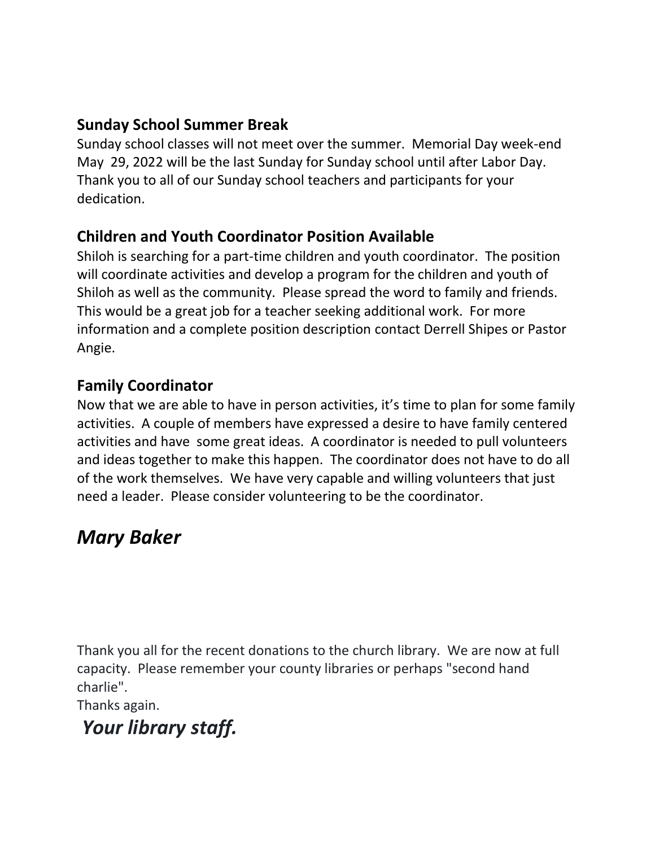#### **Sunday School Summer Break**

Sunday school classes will not meet over the summer. Memorial Day week-end May 29, 2022 will be the last Sunday for Sunday school until after Labor Day. Thank you to all of our Sunday school teachers and participants for your dedication.

#### **Children and Youth Coordinator Position Available**

Shiloh is searching for a part-time children and youth coordinator. The position will coordinate activities and develop a program for the children and youth of Shiloh as well as the community. Please spread the word to family and friends. This would be a great job for a teacher seeking additional work. For more information and a complete position description contact Derrell Shipes or Pastor Angie.

#### **Family Coordinator**

Now that we are able to have in person activities, it's time to plan for some family activities. A couple of members have expressed a desire to have family centered activities and have some great ideas. A coordinator is needed to pull volunteers and ideas together to make this happen. The coordinator does not have to do all of the work themselves. We have very capable and willing volunteers that just need a leader. Please consider volunteering to be the coordinator.

## *Mary Baker*

Thank you all for the recent donations to the church library. We are now at full capacity. Please remember your county libraries or perhaps "second hand charlie".

Thanks again.

# *Your library staff.*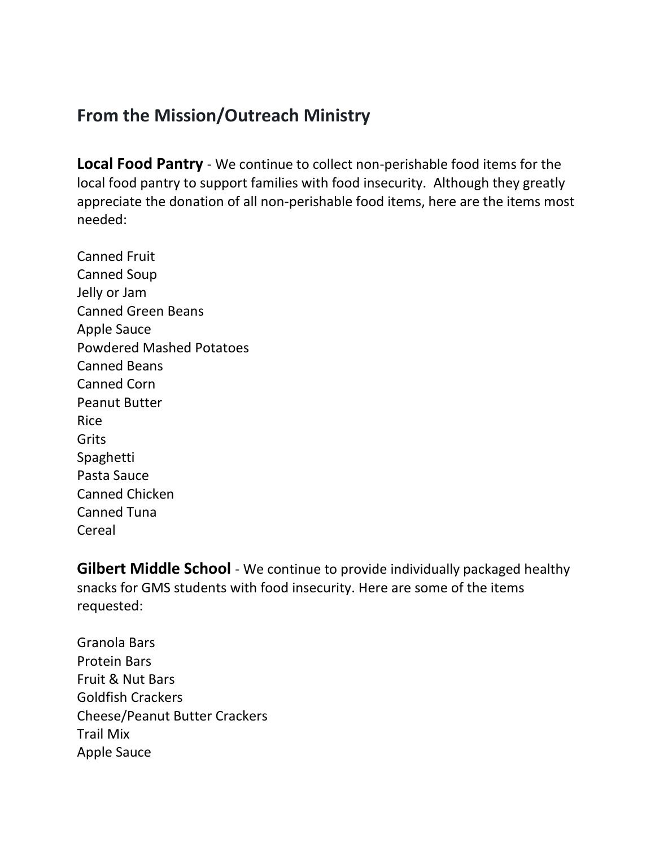### **From the Mission/Outreach Ministry**

**Local Food Pantry** - We continue to collect non-perishable food items for the local food pantry to support families with food insecurity. Although they greatly appreciate the donation of all non-perishable food items, here are the items most needed:

Canned Fruit Canned Soup Jelly or Jam Canned Green Beans Apple Sauce Powdered Mashed Potatoes Canned Beans Canned Corn Peanut Butter Rice Grits Spaghetti Pasta Sauce Canned Chicken Canned Tuna Cereal

**Gilbert Middle School** - We continue to provide individually packaged healthy snacks for GMS students with food insecurity. Here are some of the items requested:

Granola Bars Protein Bars Fruit & Nut Bars Goldfish Crackers Cheese/Peanut Butter Crackers Trail Mix Apple Sauce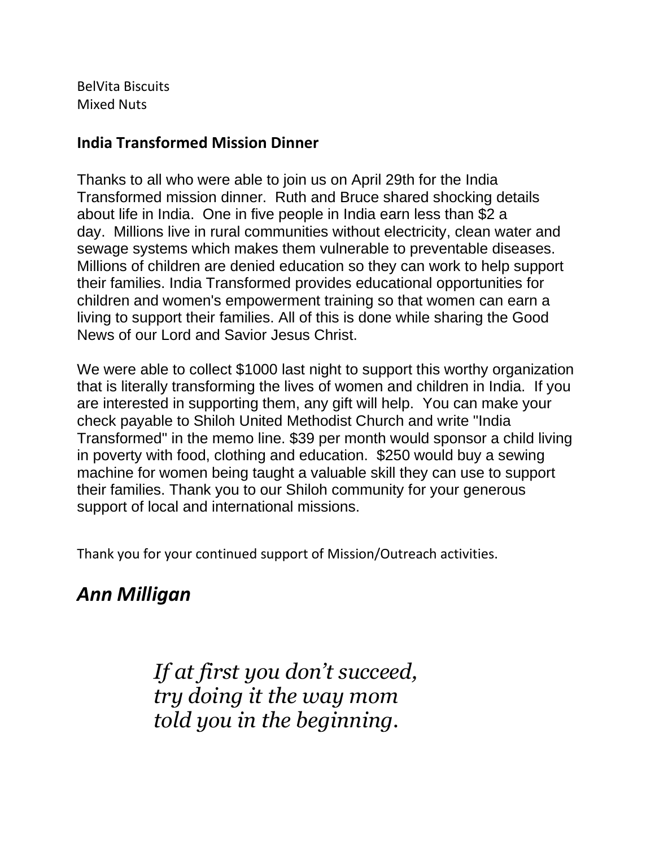BelVita Biscuits Mixed Nuts

#### **India Transformed Mission Dinner**

Thanks to all who were able to join us on April 29th for the India Transformed mission dinner. Ruth and Bruce shared shocking details about life in India. One in five people in India earn less than \$2 a day. Millions live in rural communities without electricity, clean water and sewage systems which makes them vulnerable to preventable diseases. Millions of children are denied education so they can work to help support their families. India Transformed provides educational opportunities for children and women's empowerment training so that women can earn a living to support their families. All of this is done while sharing the Good News of our Lord and Savior Jesus Christ.

We were able to collect \$1000 last night to support this worthy organization that is literally transforming the lives of women and children in India. If you are interested in supporting them, any gift will help. You can make your check payable to Shiloh United Methodist Church and write "India Transformed" in the memo line. \$39 per month would sponsor a child living in poverty with food, clothing and education. \$250 would buy a sewing machine for women being taught a valuable skill they can use to support their families. Thank you to our Shiloh community for your generous support of local and international missions.

Thank you for your continued support of Mission/Outreach activities.

# *Ann Milligan*

*If at first you don't succeed, try doing it the way mom told you in the beginning.*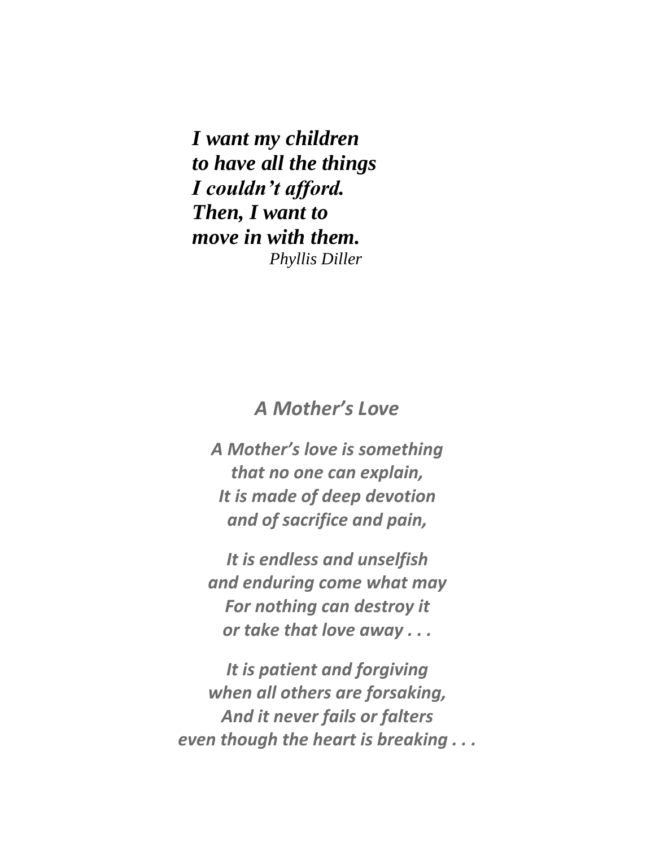*I want my children to have all the things I couldn't afford. Then, I want to move in with them. Phyllis Diller*

#### *A Mother's Love*

*A Mother's love is something that no one can explain, It is made of deep devotion and of sacrifice and pain,*

*It is endless and unselfish and enduring come what may For nothing can destroy it or take that love away . . .*

*It is patient and forgiving when all others are forsaking, And it never fails or falters even though the heart is breaking . . .*